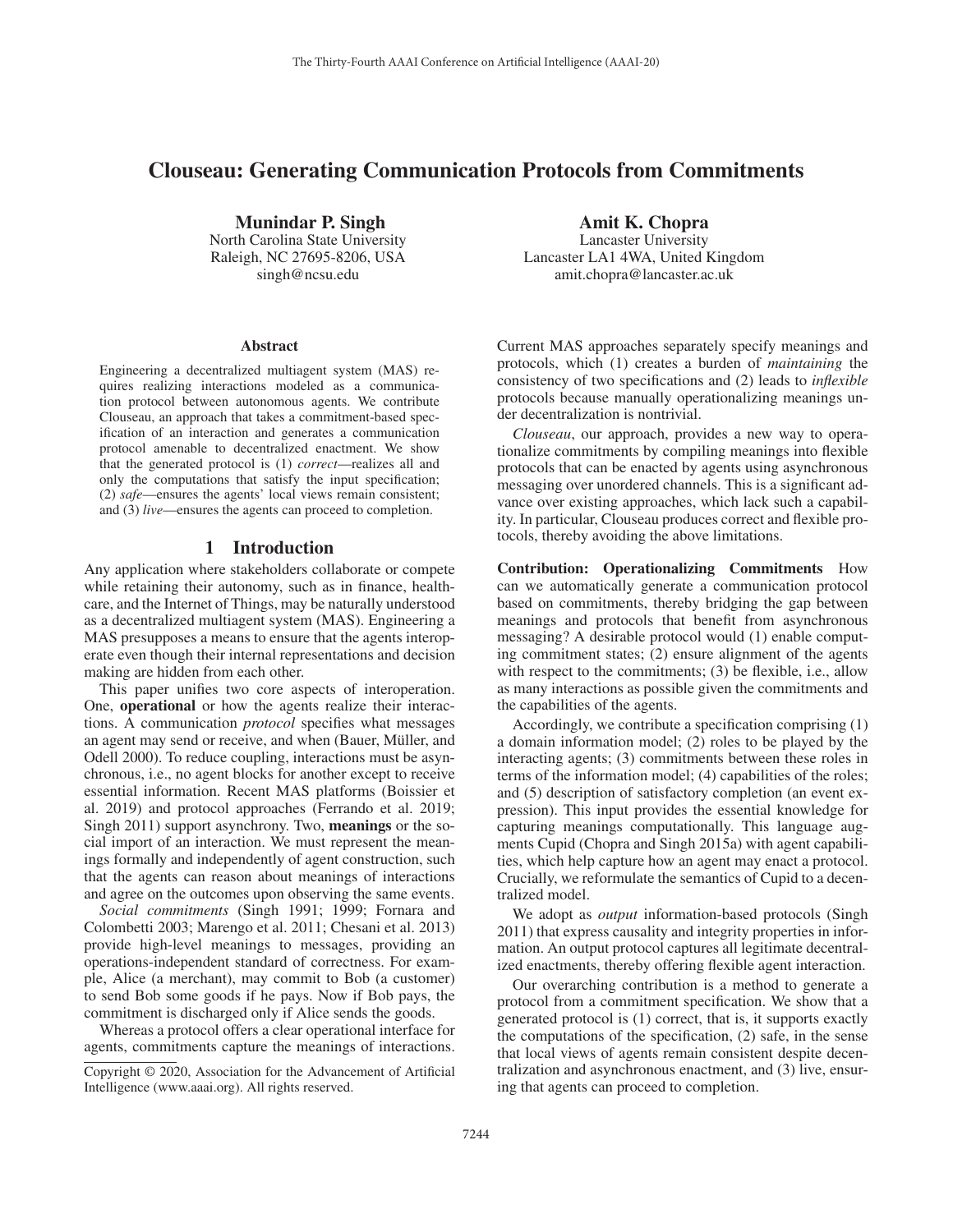# Clouseau: Generating Communication Protocols from Commitments

Munindar P. Singh North Carolina State University Raleigh, NC 27695-8206, USA singh@ncsu.edu

#### Abstract

Engineering a decentralized multiagent system (MAS) requires realizing interactions modeled as a communication protocol between autonomous agents. We contribute Clouseau, an approach that takes a commitment-based specification of an interaction and generates a communication protocol amenable to decentralized enactment. We show that the generated protocol is (1) *correct*—realizes all and only the computations that satisfy the input specification; (2) *safe*—ensures the agents' local views remain consistent; and (3) *live*—ensures the agents can proceed to completion.

#### 1 Introduction

Any application where stakeholders collaborate or compete while retaining their autonomy, such as in finance, healthcare, and the Internet of Things, may be naturally understood as a decentralized multiagent system (MAS). Engineering a MAS presupposes a means to ensure that the agents interoperate even though their internal representations and decision making are hidden from each other.

This paper unifies two core aspects of interoperation. One, operational or how the agents realize their interactions. A communication *protocol* specifies what messages an agent may send or receive, and when (Bauer, Müller, and Odell 2000). To reduce coupling, interactions must be asynchronous, i.e., no agent blocks for another except to receive essential information. Recent MAS platforms (Boissier et al. 2019) and protocol approaches (Ferrando et al. 2019; Singh 2011) support asynchrony. Two, meanings or the social import of an interaction. We must represent the meanings formally and independently of agent construction, such that the agents can reason about meanings of interactions and agree on the outcomes upon observing the same events.

*Social commitments* (Singh 1991; 1999; Fornara and Colombetti 2003; Marengo et al. 2011; Chesani et al. 2013) provide high-level meanings to messages, providing an operations-independent standard of correctness. For example, Alice (a merchant), may commit to Bob (a customer) to send Bob some goods if he pays. Now if Bob pays, the commitment is discharged only if Alice sends the goods.

Whereas a protocol offers a clear operational interface for agents, commitments capture the meanings of interactions.

Amit K. Chopra

Lancaster University Lancaster LA1 4WA, United Kingdom amit.chopra@lancaster.ac.uk

Current MAS approaches separately specify meanings and protocols, which (1) creates a burden of *maintaining* the consistency of two specifications and (2) leads to *inflexible* protocols because manually operationalizing meanings under decentralization is nontrivial.

*Clouseau*, our approach, provides a new way to operationalize commitments by compiling meanings into flexible protocols that can be enacted by agents using asynchronous messaging over unordered channels. This is a significant advance over existing approaches, which lack such a capability. In particular, Clouseau produces correct and flexible protocols, thereby avoiding the above limitations.

Contribution: Operationalizing Commitments How can we automatically generate a communication protocol based on commitments, thereby bridging the gap between meanings and protocols that benefit from asynchronous messaging? A desirable protocol would (1) enable computing commitment states; (2) ensure alignment of the agents with respect to the commitments; (3) be flexible, i.e., allow as many interactions as possible given the commitments and the capabilities of the agents.

Accordingly, we contribute a specification comprising (1) a domain information model; (2) roles to be played by the interacting agents; (3) commitments between these roles in terms of the information model; (4) capabilities of the roles; and (5) description of satisfactory completion (an event expression). This input provides the essential knowledge for capturing meanings computationally. This language augments Cupid (Chopra and Singh 2015a) with agent capabilities, which help capture how an agent may enact a protocol. Crucially, we reformulate the semantics of Cupid to a decentralized model.

We adopt as *output* information-based protocols (Singh 2011) that express causality and integrity properties in information. An output protocol captures all legitimate decentralized enactments, thereby offering flexible agent interaction.

Our overarching contribution is a method to generate a protocol from a commitment specification. We show that a generated protocol is (1) correct, that is, it supports exactly the computations of the specification, (2) safe, in the sense that local views of agents remain consistent despite decentralization and asynchronous enactment, and (3) live, ensuring that agents can proceed to completion.

Copyright © 2020, Association for the Advancement of Artificial Intelligence (www.aaai.org). All rights reserved.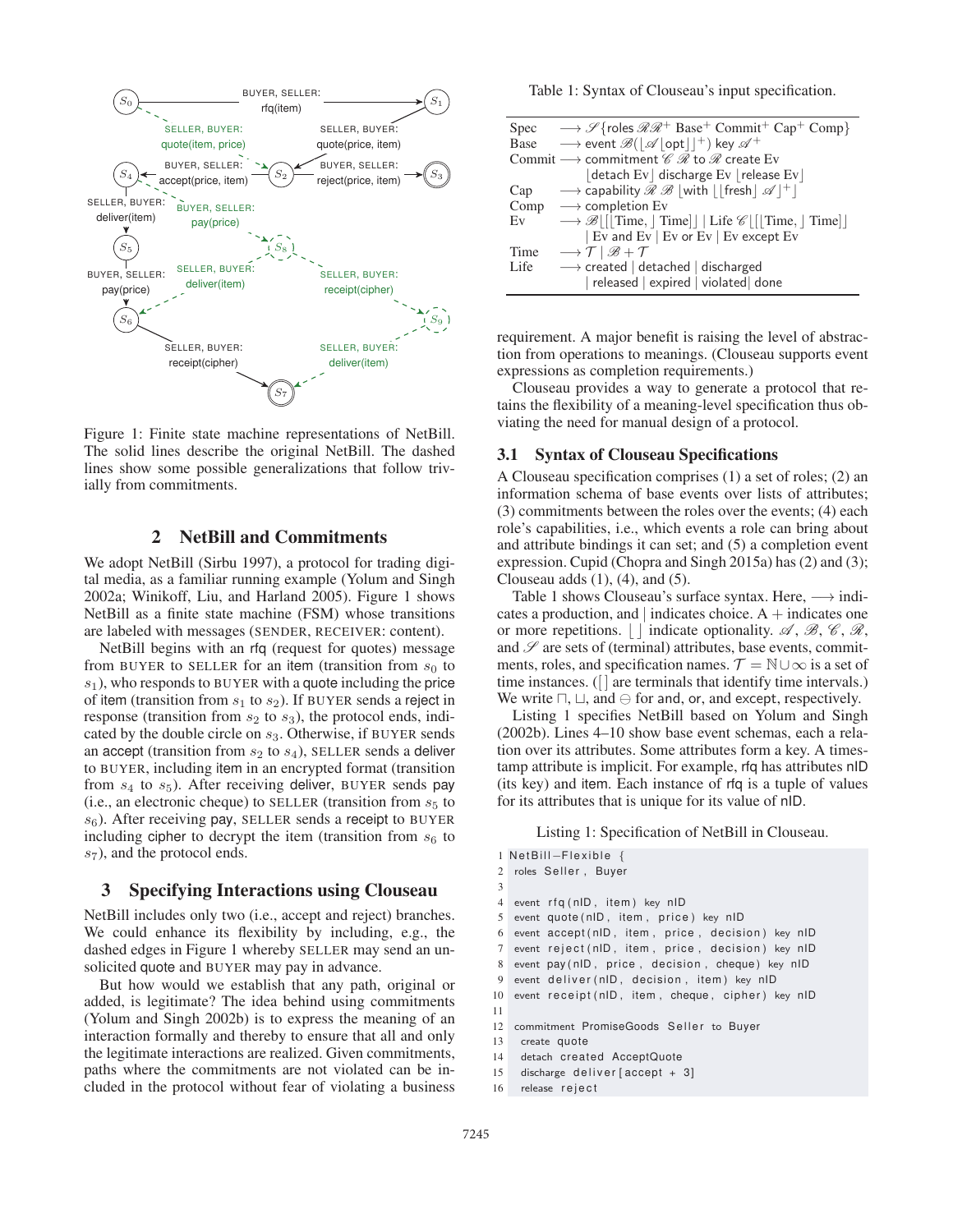

Figure 1: Finite state machine representations of NetBill. The solid lines describe the original NetBill. The dashed lines show some possible generalizations that follow trivially from commitments.

# 2 NetBill and Commitments

We adopt NetBill (Sirbu 1997), a protocol for trading digital media, as a familiar running example (Yolum and Singh 2002a; Winikoff, Liu, and Harland 2005). Figure 1 shows NetBill as a finite state machine (FSM) whose transitions are labeled with messages (SENDER, RECEIVER: content).

NetBill begins with an rfq (request for quotes) message from BUYER to SELLER for an item (transition from  $s_0$  to  $s_1$ ), who responds to BUYER with a quote including the price of item (transition from  $s_1$  to  $s_2$ ). If BUYER sends a reject in response (transition from  $s_2$  to  $s_3$ ), the protocol ends, indicated by the double circle on  $s_3$ . Otherwise, if BUYER sends an accept (transition from  $s_2$  to  $s_4$ ), SELLER sends a deliver to BUYER, including item in an encrypted format (transition from  $s_4$  to  $s_5$ ). After receiving deliver, BUYER sends pay (i.e., an electronic cheque) to SELLER (transition from  $s<sub>5</sub>$  to  $s_6$ ). After receiving pay, SELLER sends a receipt to BUYER including cipher to decrypt the item (transition from  $s<sub>6</sub>$  to  $s_7$ ), and the protocol ends.

## 3 Specifying Interactions using Clouseau

NetBill includes only two (i.e., accept and reject) branches. We could enhance its flexibility by including, e.g., the dashed edges in Figure 1 whereby SELLER may send an unsolicited quote and BUYER may pay in advance.

But how would we establish that any path, original or added, is legitimate? The idea behind using commitments (Yolum and Singh 2002b) is to express the meaning of an interaction formally and thereby to ensure that all and only the legitimate interactions are realized. Given commitments, paths where the commitments are not violated can be included in the protocol without fear of violating a business Table 1: Syntax of Clouseau's input specification.

|      | Spec $\longrightarrow \mathscr{S}$ {roles $\mathscr{R}\mathscr{R}^+$ Base <sup>+</sup> Commit <sup>+</sup> Cap <sup>+</sup> Comp} |  |  |  |  |  |
|------|-----------------------------------------------------------------------------------------------------------------------------------|--|--|--|--|--|
|      | Base $\longrightarrow$ event $\mathscr{B}( \mathscr{A}  \text{opt}   ^+)$ key $\mathscr{A}^+$                                     |  |  |  |  |  |
|      | Commit $\longrightarrow$ commitment $\mathscr{C} \mathscr{R}$ to $\mathscr{R}$ create Ev                                          |  |  |  |  |  |
|      | $ $ detach Ev $ $ discharge Ev $ $ release Ev $ $                                                                                 |  |  |  |  |  |
| Cap  | $\rightarrow$ capability $\mathcal{R} \mathcal{B}$ with $  $ fresh $ \mathcal{A} ^+ $                                             |  |  |  |  |  |
|      | Comp $\longrightarrow$ completion Ev                                                                                              |  |  |  |  |  |
| Ev   | $\rightarrow \mathscr{B}$   Time,   Time     Life $\mathscr{C}$   Time,   Time                                                    |  |  |  |  |  |
|      | Ev and Ev   Ev or Ev   Ev except Ev                                                                                               |  |  |  |  |  |
| Time | $\longrightarrow$ $\mathcal{T}$   $\mathscr{B}$ + $\mathcal{T}$                                                                   |  |  |  |  |  |
| Life | $\longrightarrow$ created   detached   discharged                                                                                 |  |  |  |  |  |
|      | released   expired   violated done                                                                                                |  |  |  |  |  |

requirement. A major benefit is raising the level of abstraction from operations to meanings. (Clouseau supports event expressions as completion requirements.)

Clouseau provides a way to generate a protocol that retains the flexibility of a meaning-level specification thus obviating the need for manual design of a protocol.

#### 3.1 Syntax of Clouseau Specifications

A Clouseau specification comprises (1) a set of roles; (2) an information schema of base events over lists of attributes; (3) commitments between the roles over the events; (4) each role's capabilities, i.e., which events a role can bring about and attribute bindings it can set; and (5) a completion event expression. Cupid (Chopra and Singh 2015a) has (2) and (3); Clouseau adds  $(1)$ ,  $(4)$ , and  $(5)$ .

Table 1 shows Clouseau's surface syntax. Here,  $\longrightarrow$  indicates a production, and  $|$  indicates choice. A  $+$  indicates one or more repetitions.  $\vert \cdot \vert$  indicate optionality. A, B, C, R, and  $\mathscr S$  are sets of (terminal) attributes, base events, commitments, roles, and specification names.  $\mathcal{T} = \mathbb{N} \cup \infty$  is a set of time instances. ([] are terminals that identify time intervals.) We write  $\sqcap$ ,  $\sqcup$ , and  $\ominus$  for and, or, and except, respectively.

Listing 1 specifies NetBill based on Yolum and Singh (2002b). Lines 4–10 show base event schemas, each a relation over its attributes. Some attributes form a key. A timestamp attribute is implicit. For example, rfq has attributes nID (its key) and item. Each instance of rfq is a tuple of values for its attributes that is unique for its value of nID.

#### Listing 1: Specification of NetBill in Clouseau.

|                | $1$ NetBill-Flexible $\{$                         |  |  |  |  |
|----------------|---------------------------------------------------|--|--|--|--|
|                | 2 roles Seller, Buyer                             |  |  |  |  |
| 3              |                                                   |  |  |  |  |
| $\overline{4}$ | event rfq(nID, item) key nID                      |  |  |  |  |
| 5              | event quote (nID, item, price) key nID            |  |  |  |  |
| 6              | event accept (nID, item, price, decision) key nID |  |  |  |  |
| $\tau$         | event reject (nID, item, price, decision) key nID |  |  |  |  |
| 8              | event pay(nID, price, decision, cheque) key nID   |  |  |  |  |
| 9              | event deliver (nID, decision, item) key nID       |  |  |  |  |
| 10             | event receipt(nID, item, cheque, cipher) key nID  |  |  |  |  |
| 11             |                                                   |  |  |  |  |
| 12             | commitment PromiseGoods Seller to Buyer           |  |  |  |  |
| 13             | create quote                                      |  |  |  |  |
| 14             | detach created AcceptQuote                        |  |  |  |  |
|                | 15 discharge deliver [accept + 3]                 |  |  |  |  |

```
16 release reject
```
11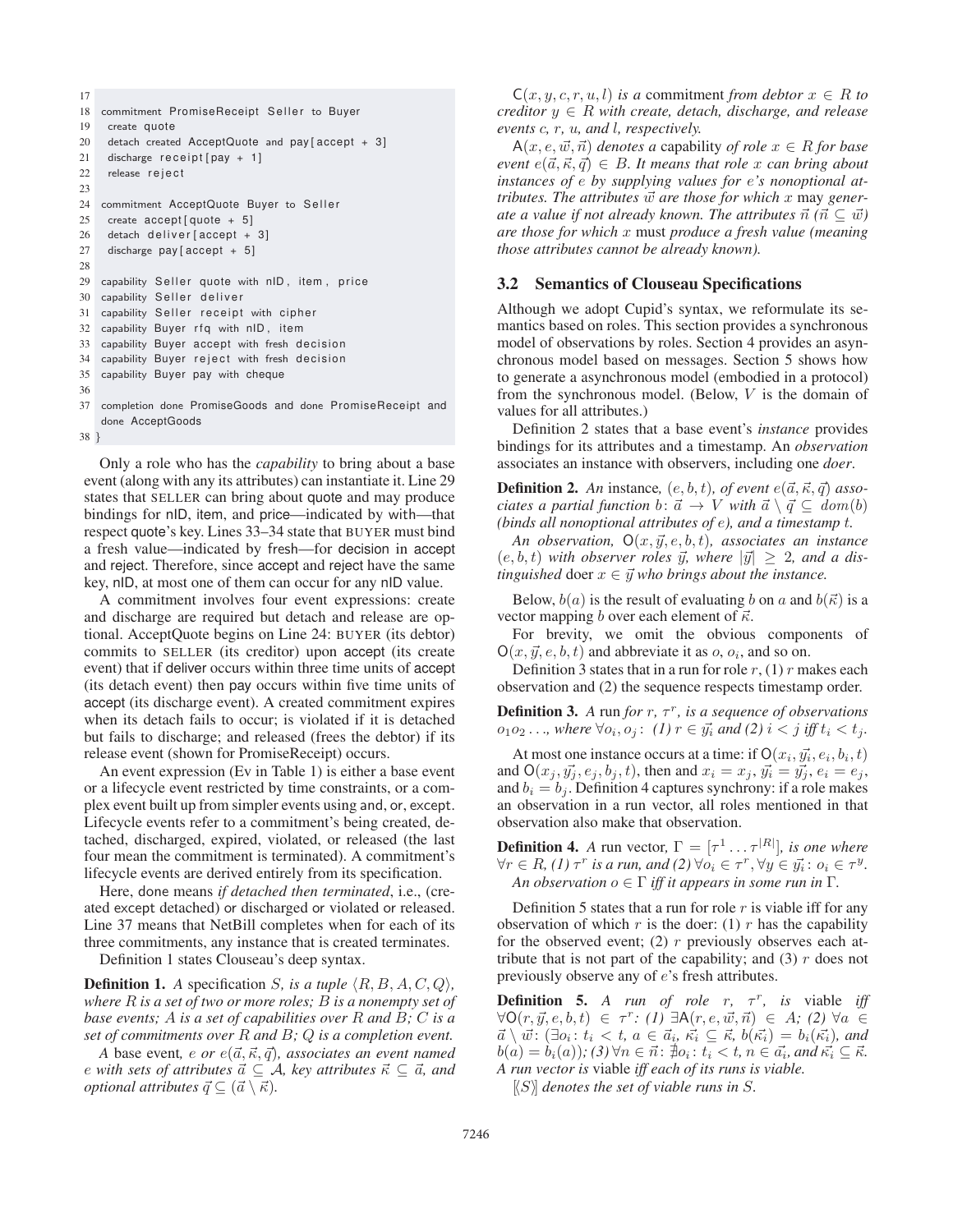```
17
18 commitment PromiseReceipt Seller to Buyer
19 create quote
20 detach created AcceptQuote and pay [accept + 3]
21 discharge receipt [pay + 1]
22 release reject
23
24 commitment AcceptQuote Buyer to Seller
25 create accept[quote + 5]26 detach deliver [accept + 3]
27 discharge pay [ accept + 5]
28
29 capability Seller quote with nID, item, price
30 capability Seller deliver
31 capability Seller receipt with cipher
32 capability Buyer rfq with nID , item
33 capability Buyer accept with fresh decision
34 capability Buyer reject with fresh decision
35 capability Buyer pay with cheque
36
37 completion done PromiseGoods and done PromiseReceipt and
   done AcceptGoods
```

```
38 }
```
Only a role who has the *capability* to bring about a base event (along with any its attributes) can instantiate it. Line 29 states that SELLER can bring about quote and may produce bindings for nID, item, and price—indicated by with—that respect quote's key. Lines 33–34 state that BUYER must bind a fresh value—indicated by fresh—for decision in accept and reject. Therefore, since accept and reject have the same key, nID, at most one of them can occur for any nID value.

A commitment involves four event expressions: create and discharge are required but detach and release are optional. AcceptQuote begins on Line 24: BUYER (its debtor) commits to SELLER (its creditor) upon accept (its create event) that if deliver occurs within three time units of accept (its detach event) then pay occurs within five time units of accept (its discharge event). A created commitment expires when its detach fails to occur; is violated if it is detached but fails to discharge; and released (frees the debtor) if its release event (shown for PromiseReceipt) occurs.

An event expression (Ev in Table 1) is either a base event or a lifecycle event restricted by time constraints, or a complex event built up from simpler events using and, or, except. Lifecycle events refer to a commitment's being created, detached, discharged, expired, violated, or released (the last four mean the commitment is terminated). A commitment's lifecycle events are derived entirely from its specification.

Here, done means *if detached then terminated*, i.e., (created except detached) or discharged or violated or released. Line 37 means that NetBill completes when for each of its three commitments, any instance that is created terminates.

Definition 1 states Clouseau's deep syntax.

**Definition 1.** A specification *S*, is a tuple  $(R, B, A, C, Q)$ , *where* R *is a set of two or more roles;* B *is a nonempty set of base events;* A *is a set of capabilities over* R *and* B*;* C *is a set of commitments over* R *and* B*;* Q *is a completion event.*

*A* base event, *e or*  $e(\vec{a}, \vec{\kappa}, \vec{q})$ *, associates an event named* e with sets of attributes  $\vec{a} \subseteq A$ , key attributes  $\vec{\kappa} \subseteq \vec{a}$ , and *optional attributes*  $\vec{q} \subseteq (\vec{a} \setminus \vec{\kappa}).$ 

 $C(x, y, c, r, u, l)$  *is a* commitment *from debtor*  $x \in R$  *to creditor*  $y \in R$  *with create, detach, discharge, and release events* c*,* r*,* u*, and* l*, respectively.*

 $A(x, e, \vec{w}, \vec{n})$  *denotes a* capability *of role*  $x \in R$  *for base*  $even\ e(\vec{a}, \vec{\kappa}, \vec{q}) \in B$ . It means that role x can bring about *instances of* e *by supplying values for* e*'s nonoptional attributes. The attributes*  $\vec{w}$  are those for which x may generate a value if not already known. The attributes  $\vec{n}$   $(\vec{n} \subseteq \vec{w})$ *are those for which* x must *produce a fresh value (meaning those attributes cannot be already known).*

# 3.2 Semantics of Clouseau Specifications

Although we adopt Cupid's syntax, we reformulate its semantics based on roles. This section provides a synchronous model of observations by roles. Section 4 provides an asynchronous model based on messages. Section 5 shows how to generate a asynchronous model (embodied in a protocol) from the synchronous model. (Below,  $V$  is the domain of values for all attributes.)

Definition 2 states that a base event's *instance* provides bindings for its attributes and a timestamp. An *observation* associates an instance with observers, including one *doer*.

**Definition 2.** An instance,  $(e, b, t)$ , of event  $e(\vec{a}, \vec{\kappa}, \vec{q})$  asso*ciates a partial function*  $b: \vec{a} \rightarrow V$  *with*  $\vec{a} \setminus \vec{q} \subseteq \vec{a}$  *dom* $(b)$ *(binds all nonoptional attributes of* e*), and a timestamp* t*.*

*An observation,*  $O(x, \vec{y}, e, b, t)$ *, associates an instance*  $(e, b, t)$  with observer roles  $\vec{y}$ , where  $|\vec{y}| \geq 2$ , and a dis $t$ *inguished* doer  $x \in \vec{y}$  *who brings about the instance.* 

Below,  $b(a)$  is the result of evaluating b on a and  $b(\vec{\kappa})$  is a vector mapping b over each element of  $\vec{\kappa}$ .

For brevity, we omit the obvious components of  $O(x, \vec{y}, e, b, t)$  and abbreviate it as  $o, o_i$ , and so on.

Definition 3 states that in a run for role  $r$ , (1) r makes each observation and (2) the sequence respects timestamp order.

**Definition 3.** A run for  $r$ ,  $\tau^r$ , is a sequence of observations  $o_1 o_2 \ldots$ , where ∀ $o_i$ ,  $o_j$ : *(1)*  $r \in \vec{y_i}$  and (2)  $i < j$  iff  $t_i < t_j$ .

At most one instance occurs at a time: if  $O(x_i, \vec{y_i}, e_i, b_i, t)$ and  $O(x_j, y_j, e_j, b_j, t)$ , then and  $x_i = x_j$ ,  $y_i = y_j, e_i = e_j$ , and  $b_i = b_j$ . Definition 4 captures synchrony: if a role makes an observation in a run vector, all roles mentioned in that observation also make that observation.

**Definition 4.** A run vector,  $\Gamma = [\tau^1 \dots \tau^{|R|}]$ , is one where  $\forall r \in R$ , (1)  $\tau^r$  *is a run, and* (2)  $\forall o_i \in \tau^r$ ,  $\forall y \in \vec{y_i}$ :  $o_i \in \tau^y$ . *An observation*  $o \in \Gamma$  *iff it appears in some run in*  $\Gamma$ *.* 

Definition 5 states that a run for role  $r$  is viable iff for any observation of which  $r$  is the doer: (1)  $r$  has the capability for the observed event; (2)  $r$  previously observes each attribute that is not part of the capability; and  $(3)$  r does not previously observe any of e's fresh attributes.

**Definition 5.** *A run of role r,*  $\tau^r$ *, is viable iff*  $\forall O(r, \vec{y}, e, b, t) \in \tau^r : (I) \exists A(r, e, \vec{w}, \vec{n}) \in A$ ; (2)  $\forall a \in$  $\vec{a} \setminus \vec{w}$ :  $(\exists o_i : t_i < t, a \in \vec{a}_i, \vec{\kappa_i} \subseteq \vec{\kappa}, b(\vec{\kappa_i}) = b_i(\vec{\kappa_i})$ *, and*  $b(a) = b_i(a)$ ; (3)  $\forall n \in \vec{n} \colon \nexists o_i : t_i < t, n \in \vec{a_i}$ , and  $\vec{\kappa_i} \subseteq \vec{\kappa}$ . *A run vector is* viable *iff each of its runs is viable.*

 $\langle S \rangle$  *denotes the set of viable runs in*  $S$ .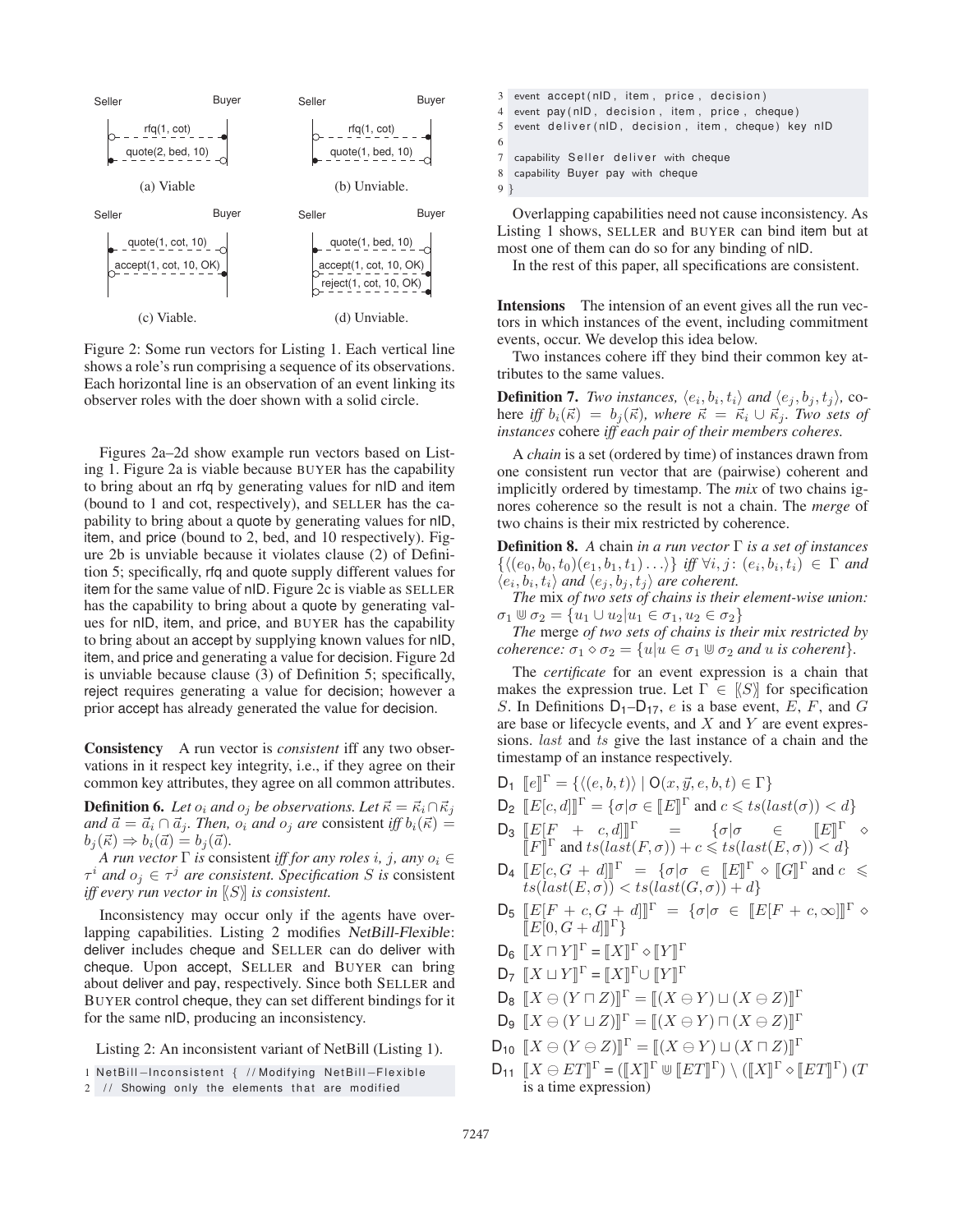

Figure 2: Some run vectors for Listing 1. Each vertical line shows a role's run comprising a sequence of its observations. Each horizontal line is an observation of an event linking its observer roles with the doer shown with a solid circle.

Figures 2a–2d show example run vectors based on Listing 1. Figure 2a is viable because BUYER has the capability to bring about an rfq by generating values for nID and item (bound to 1 and cot, respectively), and SELLER has the capability to bring about a quote by generating values for nID, item, and price (bound to 2, bed, and 10 respectively). Figure 2b is unviable because it violates clause (2) of Definition 5; specifically, rfq and quote supply different values for item for the same value of nID. Figure 2c is viable as SELLER has the capability to bring about a quote by generating values for nID, item, and price, and BUYER has the capability to bring about an accept by supplying known values for nID, item, and price and generating a value for decision. Figure 2d is unviable because clause (3) of Definition 5; specifically, reject requires generating a value for decision; however a prior accept has already generated the value for decision.

Consistency A run vector is *consistent* iff any two observations in it respect key integrity, i.e., if they agree on their common key attributes, they agree on all common attributes.

**Definition 6.** Let  $o_i$  and  $o_j$  be observations. Let  $\vec{\kappa} = \vec{\kappa}_i \cap \vec{\kappa}_j$ *and*  $\vec{a} = \vec{a}_i \cap \vec{a}_j$ *. Then,*  $o_i$  *and*  $o_j$  *are* consistent *iff*  $b_i(\vec{\kappa}) =$  $b_j(\vec{\kappa}) \Rightarrow b_i(\vec{a}) = b_j(\vec{a}).$ 

*A run vector*  $\Gamma$  *is* consistent *iff for any roles i, j, any*  $o_i \in$  $\tau^i$  *and*  $o_i \in \tau^j$  *are consistent. Specification* S *is* consistent *iff every run vector in* [ S] *is consistent.*

Inconsistency may occur only if the agents have overlapping capabilities. Listing 2 modifies *NetBill-Flexible*: deliver includes cheque and SELLER can do deliver with cheque. Upon accept, SELLER and BUYER can bring about deliver and pay, respectively. Since both SELLER and BUYER control cheque, they can set different bindings for it for the same nID, producing an inconsistency.

Listing 2: An inconsistent variant of NetBill (Listing 1).

- 3 event accept (nID, item, price, decision) 4 event pay ( nID , decision , item , price , cheque ) 5 event deliver (nID, decision, item, cheque) key nID 6 7 capability Seller deliver with cheque 8 capability Buyer pay with cheque
- 9 }

Overlapping capabilities need not cause inconsistency. As Listing 1 shows, SELLER and BUYER can bind item but at most one of them can do so for any binding of nID.

In the rest of this paper, all specifications are consistent.

Intensions The intension of an event gives all the run vectors in which instances of the event, including commitment events, occur. We develop this idea below.

Two instances cohere iff they bind their common key attributes to the same values.

**Definition 7.** *Two instances,*  $\langle e_i, b_i, t_i \rangle$  *and*  $\langle e_j, b_j, t_j \rangle$ , cohere *iff*  $b_i(\vec{\kappa}) = b_j(\vec{\kappa})$ , where  $\vec{\kappa} = \vec{\kappa}_i \cup \vec{\kappa}_j$ . Two sets of *instances* cohere *iff each pair of their members coheres.*

A *chain* is a set (ordered by time) of instances drawn from one consistent run vector that are (pairwise) coherent and implicitly ordered by timestamp. The *mix* of two chains ignores coherence so the result is not a chain. The *merge* of two chains is their mix restricted by coherence.

Definition 8. *A* chain *in a run vector* Γ *is a set of instances*  $\{ \langle (e_0, b_0, t_0)(e_1, b_1, t_1) \ldots \rangle \}$  *iff*  $\forall i, j : (e_i, b_i, t_i) \in \Gamma$  and  $\langle e_i, b_i, t_i \rangle$  and  $\langle e_j, b_j, t_j \rangle$  are coherent.

*The* mix *of two sets of chains is their element-wise union:*  $\sigma_1 \mathbb{U} \sigma_2 = \{u_1 \cup u_2 | u_1 \in \sigma_1, u_2 \in \sigma_2\}$ 

*The* merge *of two sets of chains is their mix restricted by coherence:*  $\sigma_1 \diamond \sigma_2 = \{u | u \in \sigma_1 \cup \sigma_2 \text{ and } u \text{ is coherent}\}.$ 

The *certificate* for an event expression is a chain that makes the expression true. Let  $\Gamma \in \{S\}$  for specification S. In Definitions  $D_1$ – $D_{17}$ , e is a base event, E, F, and G are base or lifecycle events, and  $X$  and  $Y$  are event expressions. *last* and *ts* give the last instance of a chain and the timestamp of an instance respectively.

 $\mathsf{D}_1 \; [[e]]^{\Gamma} = \{ \langle (e,b,t) \rangle \; | \; \mathsf{O}(x,\vec{y},e,b,t) \in \Gamma \}$ 

$$
\mathsf{D_2} \ \llbracket E[c, d] \rrbracket^{\Gamma} = \{ \sigma | \sigma \in \llbracket E \rrbracket^{\Gamma} \text{ and } c \leqslant ts (last(\sigma)) < d \}
$$

- $\mathsf{D}_3 \left[ E[F + c, d] \right] \right] \left[ c \right] = \{ \sigma | \sigma \in \mathbb{R} \}$  $\llbracket E \rrbracket^{\Gamma} \quad \diamond$  $\llbracket F \rrbracket^{\Gamma}$  and  $ts(last(F, \sigma)) + c \leqslant ts(last(E, \sigma)) \leqslant d$
- $\mathsf{D}_4 \left[ \llbracket E[c, G + d] \rrbracket^{\Gamma} \right] = \{ \sigma | \sigma \in \left[ \llbracket E \rrbracket^{\Gamma} \circ \llbracket G \rrbracket^{\Gamma} \text{ and } c \right] \leq$  $\overline{ts}(last(E,\sigma)) < ts(last(G,\sigma)) + d\}$
- $\mathsf{D}_5 \left[ \llbracket E \rrbracket F + c, G + d \rrbracket^{\Gamma} \right] = \{ \sigma | \sigma \in \left[ \llbracket E \rrbracket F + c, \infty \right] \right]^{\Gamma} \diamond$  $\angle E[0, G + d] \rrbracket$ <sup> $\Gamma$ </sup>}
- $\mathsf{D}_6$   $\llbracket X \sqcap Y \rrbracket^{\Gamma} = \llbracket X \rrbracket^{\Gamma} \diamond \llbracket Y \rrbracket^{\Gamma}$
- $\mathsf{D}_7 \;\; [\![X \sqcup Y ]\!]^\Gamma = [\![X ]\!]^\Gamma \cup [\![Y ]\!]^\Gamma$
- $\mathsf{D}_8 \left[ \left[ X \ominus (Y \sqcap Z) \right] \right]^\Gamma = \left[ \left( X \ominus Y \right) \sqcup (X \ominus Z) \right]^\Gamma$
- $\mathsf{D}_{\Theta} \; [\![X\ominus (Y\sqcup Z)]\!]^\Gamma = [\![(X\ominus Y)\sqcap (X\ominus Z)]\!]^\Gamma$
- $\mathsf{D}_{\mathsf{10}}\;\left[ X\ominus (Y\ominus Z)\right] ^{\Gamma}=\llbracket (X\ominus Y)\sqcup (X\sqcap Z)\rrbracket^{\Gamma}$
- $\mathsf{D}_{11}$   $\left[ X \ominus ET \right]^\Gamma = \left( \left[ \!\! \left[ X \right]^\Gamma \cup \left[ \!\! \left[ ET \right]^\Gamma \right] \right) \setminus \left( \left[ \!\! \left[ X \right]^\Gamma \diamond \left[ \!\! \left[ ET \right]^\Gamma \right] \right) \left( T \right. \!\! \right)$ is a time expression)

<sup>1</sup> NetBill−Inconsistent { // Modifying Ne tBill−Flexible

<sup>2 //</sup> Showing only the elements that are modified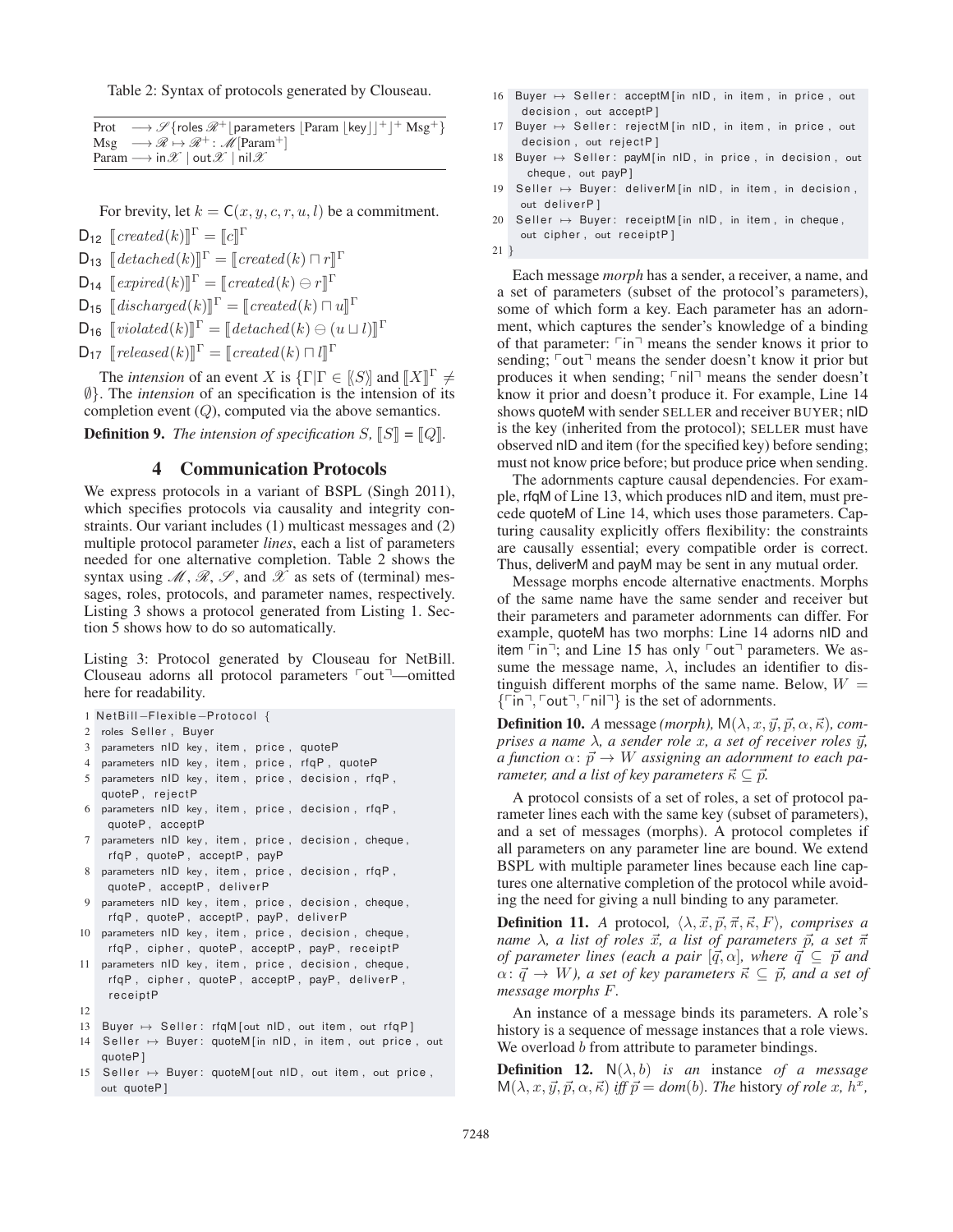Table 2: Syntax of protocols generated by Clouseau.

|  |                                                                                  | Prot $\longrightarrow \mathscr{S}$ {roles $\mathscr{R}^+$   parameters   Param   key   $]$ <sup>+</sup>   $^+$ Msg <sup>+</sup> } |  |  |
|--|----------------------------------------------------------------------------------|-----------------------------------------------------------------------------------------------------------------------------------|--|--|
|  |                                                                                  | $Msg \longrightarrow \mathcal{R} \mapsto \mathcal{R}^+$ : $\mathcal{M}$ [Param <sup>+</sup> ]                                     |  |  |
|  | Param $\longrightarrow$ in $\mathscr{X}$   out $\mathscr{X}$   nil $\mathscr{X}$ |                                                                                                                                   |  |  |

For brevity, let  $k = C(x, y, c, r, u, l)$  be a commitment.

 $D_{12}$   $[created(k)]^{\Gamma} = [c]^{\Gamma}$ 

 $D_{13}$   $[detached(k)]^{\Gamma} = [created(k) \sqcap r]^{\Gamma}$ 

 $D_{14}$   $[expected(k)]^{\Gamma} = [created(k) \ominus r]^{\Gamma}$ 

 $\mathsf{D}_{15}$   $\llbracket \text{discharged}(k) \rrbracket^{\Gamma} = \llbracket \text{created}(k) \sqcap u \rrbracket^{\Gamma}$ 

- $\mathsf{D}_{16}$   $[\text{violet}(k)]^{\Gamma} = [\text{detached}(k) \ominus (u \sqcup l)]^{\Gamma}$
- $\mathsf{D}_{17}$   $[released(k)]^{\Gamma} = [created(k) \sqcap l]^{\Gamma}$

The *intension* of an event X is  $\{\Gamma | \Gamma \in \{S\} \}$  and  $\llbracket X \rrbracket^{\Gamma} \neq \emptyset$ ∅}. The *intension* of an specification is the intension of its completion event  $(Q)$ , computed via the above semantics.

**Definition 9.** The intension of specification  $S$ ,  $\llbracket S \rrbracket = \llbracket Q \rrbracket$ .

## 4 Communication Protocols

We express protocols in a variant of BSPL (Singh 2011), which specifies protocols via causality and integrity constraints. Our variant includes (1) multicast messages and (2) multiple protocol parameter *lines*, each a list of parameters needed for one alternative completion. Table 2 shows the syntax using  $\mathcal{M}, \mathcal{R}, \mathcal{S}$ , and  $\mathcal{X}$  as sets of (terminal) messages, roles, protocols, and parameter names, respectively. Listing 3 shows a protocol generated from Listing 1. Section 5 shows how to do so automatically.

Listing 3: Protocol generated by Clouseau for NetBill. Clouseau adorns all protocol parameters  $\lceil \text{out} \rceil$ —omitted here for readability.

```
1 NetBill−Flexible−Protocol {
```

```
2 roles Seller , Buyer
```
- 3 parameters nID key, item, price, quoteP
- 4 parameters nID key, item, price, rfqP, quoteP
- 5 parameters nID key, item, price, decision, rfqP, quoteP , rejectP
- 6 parameters nID key , item , price , decision , rfqP , quoteP , acceptP
- 7 parameters nID key, item, price, decision, cheque, rfqP , quoteP , acceptP , payP
- 8 parameters nID key, item, price, decision, rfqP, quoteP , acceptP , deliverP
- 9 parameters nID key, item, price, decision, cheque, rfqP , quoteP , acceptP , payP , deliverP
- 10 parameters nID key, item, price, decision, cheque, rfqP , cipher , quoteP , acceptP , payP , receiptP
- 11 parameters nID key, item, price, decision, cheque, rfqP, cipher, quoteP, acceptP, payP, deliverP, receiptP
- 12

13 Buyer  $\mapsto$  Seller: rfqM [out nID, out item, out rfqP]

- $14$  Seller  $\mapsto$  Buyer: quoteM [in nID, in item, out price, out quoteP ]
- 15 Seller  $\mapsto$  Buyer: quoteM [out nID, out item, out price, out quoteP]
- $16$  Buyer  $\mapsto$  Seller: acceptM [in nID, in item, in price, out decision, out acceptP]
- 17 Buyer → Seller: rejectM [in nID, in item, in price, out decision , out rejectP ]
- $18$  Buyer  $\mapsto$  Seller: payM[in nID, in price, in decision, out cheque , out payP ]
- $19$  Seller  $\mapsto$  Buyer: deliverM [in nID, in item, in decision, out deliverP ]
- 20 Seller  $\mapsto$  Buyer: receiptM[in nID, in item, in cheque, out cipher , out receiptP ]

```
21 }
```
Each message *morph* has a sender, a receiver, a name, and a set of parameters (subset of the protocol's parameters), some of which form a key. Each parameter has an adornment, which captures the sender's knowledge of a binding of that parameter:  $\lceil \cdot \rceil$  means the sender knows it prior to sending;  $\lceil \text{out} \rceil$  means the sender doesn't know it prior but produces it when sending;  $\lceil \text{nil} \rceil$  means the sender doesn't know it prior and doesn't produce it. For example, Line 14 shows quoteM with sender SELLER and receiver BUYER; nID is the key (inherited from the protocol); SELLER must have observed nID and item (for the specified key) before sending; must not know price before; but produce price when sending.

The adornments capture causal dependencies. For example, rfqM of Line 13, which produces nID and item, must precede quoteM of Line 14, which uses those parameters. Capturing causality explicitly offers flexibility: the constraints are causally essential; every compatible order is correct. Thus, deliverM and payM may be sent in any mutual order.

Message morphs encode alternative enactments. Morphs of the same name have the same sender and receiver but their parameters and parameter adornments can differ. For example, quoteM has two morphs: Line 14 adorns nID and item  $\lceil \text{in} \rceil$ ; and Line 15 has only  $\lceil \text{out} \rceil$  parameters. We assume the message name,  $\lambda$ , includes an identifier to distinguish different morphs of the same name. Below,  $W =$  $\{\lceil \mathsf{in} \rceil, \lceil \mathsf{out} \rceil, \lceil \mathsf{nil} \rceil \}$  is the set of adornments.

**Definition 10.** A message *(morph)*,  $M(\lambda, x, \vec{y}, \vec{p}, \alpha, \vec{\kappa})$ , *comprises a name λ, a sender role x, a set of receiver roles*  $\vec{y}$ *,*  $\alpha$  function  $\alpha$ :  $\vec{p} \to W$  assigning an adornment to each pa*rameter, and a list of key parameters*  $\vec{\kappa} \subseteq \vec{p}$ .

A protocol consists of a set of roles, a set of protocol parameter lines each with the same key (subset of parameters), and a set of messages (morphs). A protocol completes if all parameters on any parameter line are bound. We extend BSPL with multiple parameter lines because each line captures one alternative completion of the protocol while avoiding the need for giving a null binding to any parameter.

**Definition 11.** A protocol,  $\langle \lambda, \vec{x}, \vec{p}, \vec{\pi}, \vec{\kappa}, F \rangle$ , comprises a  $n$ ame  $\lambda$ , a list of roles  $\vec{x}$ , a list of parameters  $\vec{p}$ , a set  $\vec{\pi}$ *of parameter lines (each a pair*  $[\vec{q}, \alpha]$ , where  $\vec{q} \subseteq \vec{p}$  and  $\alpha: \vec{q} \to W$ ), a set of key parameters  $\vec{\kappa} \subseteq \vec{p}$ , and a set of *message morphs* F*.*

An instance of a message binds its parameters. A role's history is a sequence of message instances that a role views. We overload b from attribute to parameter bindings.

**Definition 12.**  $N(\lambda, b)$  *is an* instance *of a message*  $M(\lambda, x, \vec{y}, \vec{p}, \alpha, \vec{\kappa})$  *iff*  $\vec{p} = dom(b)$ *. The history of role x, h<sup>x</sup>,*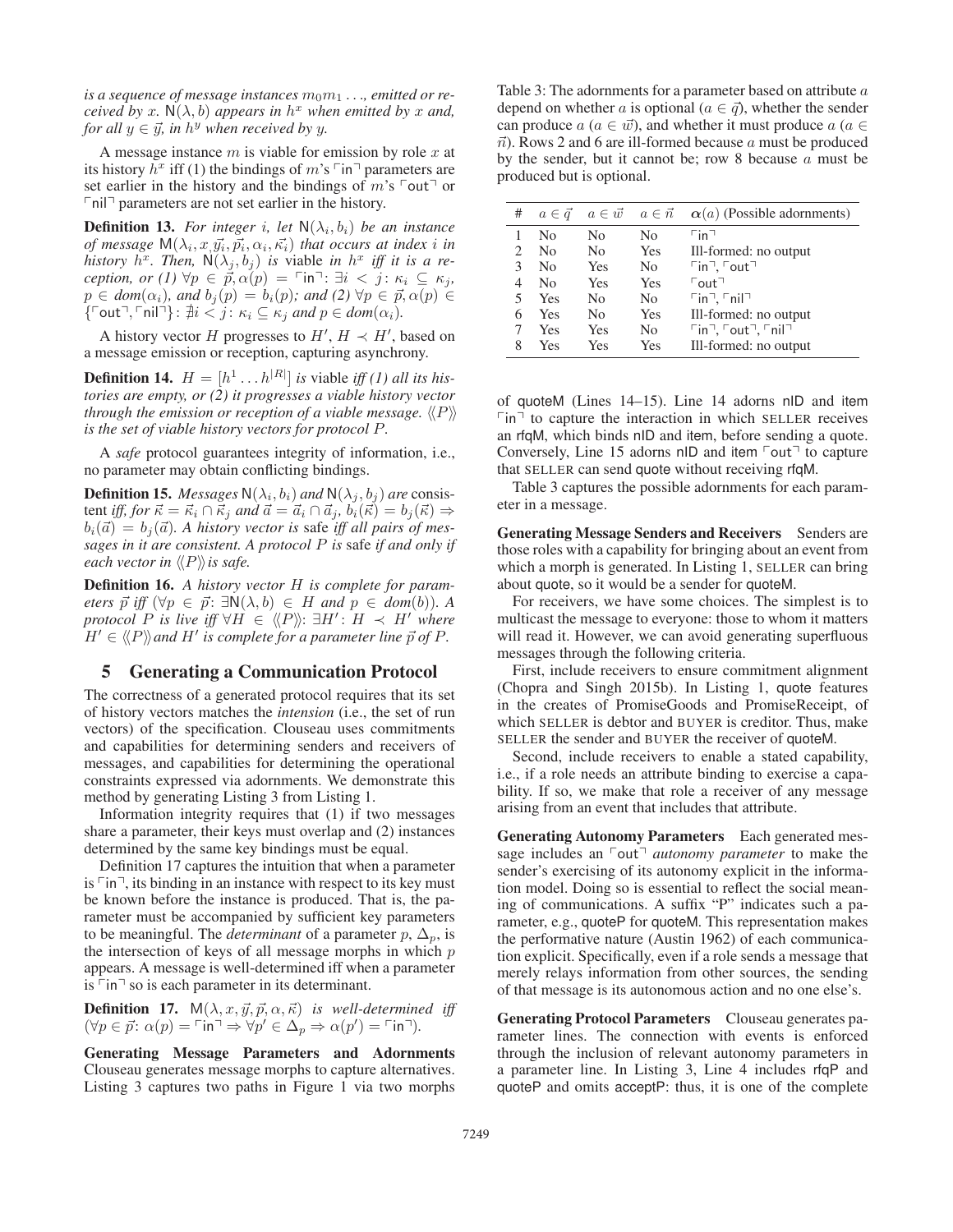is a sequence of message instances  $m_0m_1 \ldots$ , emitted or re*ceived by* x.  $N(\lambda, b)$  *appears in*  $h^x$  *when emitted by* x *and*, *for all*  $y \in \vec{y}$ , in  $h^y$  when received by y.

A message instance  $m$  is viable for emission by role  $x$  at its history  $h^x$  iff (1) the bindings of m's  $\lceil \ln \rceil$  parameters are set earlier in the history and the bindings of  $m$ 's  $\lceil \text{out} \rceil$  or  $\lceil \text{nil} \rceil$  parameters are not set earlier in the history.

**Definition 13.** For integer i, let  $N(\lambda_i, b_i)$  be an instance *of message*  $M(\lambda_i, x, \vec{y_i}, \vec{p_i}, \alpha_i, \vec{\kappa_i})$  *that occurs at index i in history*  $h^x$ . Then,  $\mathsf{N}(\lambda_i, b_i)$  *is* viable *in*  $h^x$  *iff it is a reception, or (1)*  $\forall p \in \vec{p}, \alpha(p) = \ulcorner \text{in} \urcorner : \exists i < j : \kappa_i \subseteq \kappa_j,$  $p \in dom(\alpha_i)$ , and  $b_j(p) = b_i(p)$ ; and (2)  $\forall p \in \vec{p}, \alpha(p) \in$  $\{\begin{bmatrix} \text{C} \text{out} \end{bmatrix}, \begin{bmatrix} \text{C} \text{in} \end{bmatrix} \}$ :  $\nexists i < j : \kappa_i \subseteq \kappa_j$  and  $p \in dom(\alpha_i)$ .

A history vector H progresses to  $H'$ ,  $H \prec H'$ , based on a message emission or reception, capturing asynchrony.

**Definition 14.**  $H = [h^1 \dots h^{|R|}]$  *is* viable *iff* (1) all *its histories are empty, or (2) it progresses a viable history vector* through the emission or reception of a viable message.  $\langle\!\langle P \rangle\!\rangle$ *is the set of viable history vectors for protocol* P*.*

A *safe* protocol guarantees integrity of information, i.e., no parameter may obtain conflicting bindings.

**Definition 15.** *Messages*  $N(\lambda_i, b_i)$  *and*  $N(\lambda_j, b_j)$  *are* consistent *iff, for*  $\vec{\kappa} = \vec{\kappa}_i \cap \vec{\kappa}_j$  and  $\vec{a} = \vec{a}_i \cap \vec{a}_j$ ,  $\vec{b}_i(\vec{\kappa}) = b_j(\vec{\kappa}) \Rightarrow$  $b_i(\vec{a}) = b_j(\vec{a})$ . A history vector is safe iff all pairs of mes*sages in it are consistent. A protocol* P *is* safe *if and only if each vector in* P*is safe.*

Definition 16. *A history vector* H *is complete for parameters*  $\vec{p}$  *iff*  $(\forall p \in \vec{p}$ :  $\exists N(\lambda, b) \in H$  *and*  $p \in dom(b)$ *).* A  $protocol[P]$  *is live iff*  $\forall H \in \langle \langle P \rangle \rangle : \exists H' : H \prec H'$  where  $H' \in \langle\!\langle P \rangle\!\rangle$  and  $H'$  is complete for a parameter line  $\vec{p}$  of  $P$ .

### 5 Generating a Communication Protocol

The correctness of a generated protocol requires that its set of history vectors matches the *intension* (i.e., the set of run vectors) of the specification. Clouseau uses commitments and capabilities for determining senders and receivers of messages, and capabilities for determining the operational constraints expressed via adornments. We demonstrate this method by generating Listing 3 from Listing 1.

Information integrity requires that (1) if two messages share a parameter, their keys must overlap and (2) instances determined by the same key bindings must be equal.

Definition 17 captures the intuition that when a parameter is  $\lceil \ln \rceil$ , its binding in an instance with respect to its key must be known before the instance is produced. That is, the parameter must be accompanied by sufficient key parameters to be meaningful. The *determinant* of a parameter  $p$ ,  $\Delta_p$ , is the intersection of keys of all message morphs in which  $p$ appears. A message is well-determined iff when a parameter is  $\lceil \cdot \rceil$  so is each parameter in its determinant.

**Definition 17.**  $M(\lambda, x, \vec{y}, \vec{p}, \alpha, \vec{\kappa})$  is well-determined iff  $(\forall p \in \vec{p}: \alpha(p) = \ulcorner \text{in} \urcorner \Rightarrow \forall p' \in \Delta'_p \Rightarrow \alpha(p') = \ulcorner \text{in} \urcorner).$ 

Generating Message Parameters and Adornments Clouseau generates message morphs to capture alternatives. Listing 3 captures two paths in Figure 1 via two morphs

Table 3: The adornments for a parameter based on attribute a depend on whether a is optional ( $a \in \overrightarrow{q}$ ), whether the sender can produce  $a$  ( $a \in \vec{w}$ ), and whether it must produce  $a$  ( $a \in \vec{w}$ )  $\vec{n}$ ). Rows 2 and 6 are ill-formed because a must be produced by the sender, but it cannot be; row 8 because  $a$  must be produced but is optional.

| # | $a \in \vec{q}$ | $a \in \vec{w}$ $a \in \vec{n}$ |     | $\alpha(a)$ (Possible adornments)                                                         |
|---|-----------------|---------------------------------|-----|-------------------------------------------------------------------------------------------|
|   | No              | N <sub>0</sub>                  | No  | $\sqcap$ in $\sqcap$                                                                      |
| 2 | No              | N <sub>0</sub>                  | Yes | Ill-formed: no output                                                                     |
| 3 | No              | <b>Yes</b>                      | No  | $\lceil \text{in} \rceil$ , $\lceil \text{out} \rceil$                                    |
| 4 | No              | <b>Yes</b>                      | Yes | $\sqrt{\frac{1}{10}}$                                                                     |
| 5 | Yes             | N <sub>0</sub>                  | No  | $\lceil \ln \rceil$ , $\lceil \text{n} \rceil$                                            |
| 6 | Yes             | N <sub>0</sub>                  | Yes | Ill-formed: no output                                                                     |
|   | Yes             | <b>Yes</b>                      | No  | $\lceil \mathsf{in} \rceil$ , $\lceil \mathsf{out} \rceil$ , $\lceil \mathsf{nil} \rceil$ |
| 8 | Yes             | Yes                             | Yes | Ill-formed: no output                                                                     |

of quoteM (Lines 14–15). Line 14 adorns nID and item  $\lceil \cdot \rceil$  to capture the interaction in which SELLER receives an rfqM, which binds nID and item, before sending a quote. Conversely, Line 15 adorns nID and item  $\lceil \text{out} \rceil$  to capture that SELLER can send quote without receiving rfqM.

Table 3 captures the possible adornments for each parameter in a message.

Generating Message Senders and Receivers Senders are those roles with a capability for bringing about an event from which a morph is generated. In Listing 1, SELLER can bring about quote, so it would be a sender for quoteM.

For receivers, we have some choices. The simplest is to multicast the message to everyone: those to whom it matters will read it. However, we can avoid generating superfluous messages through the following criteria.

First, include receivers to ensure commitment alignment (Chopra and Singh 2015b). In Listing 1, quote features in the creates of PromiseGoods and PromiseReceipt, of which SELLER is debtor and BUYER is creditor. Thus, make SELLER the sender and BUYER the receiver of quoteM.

Second, include receivers to enable a stated capability, i.e., if a role needs an attribute binding to exercise a capability. If so, we make that role a receiver of any message arising from an event that includes that attribute.

Generating Autonomy Parameters Each generated message includes an  $\lceil \text{out} \rceil$  *autonomy parameter* to make the sender's exercising of its autonomy explicit in the information model. Doing so is essential to reflect the social meaning of communications. A suffix "P" indicates such a parameter, e.g., quoteP for quoteM. This representation makes the performative nature (Austin 1962) of each communication explicit. Specifically, even if a role sends a message that merely relays information from other sources, the sending of that message is its autonomous action and no one else's.

Generating Protocol Parameters Clouseau generates parameter lines. The connection with events is enforced through the inclusion of relevant autonomy parameters in a parameter line. In Listing 3, Line 4 includes rfqP and quoteP and omits acceptP: thus, it is one of the complete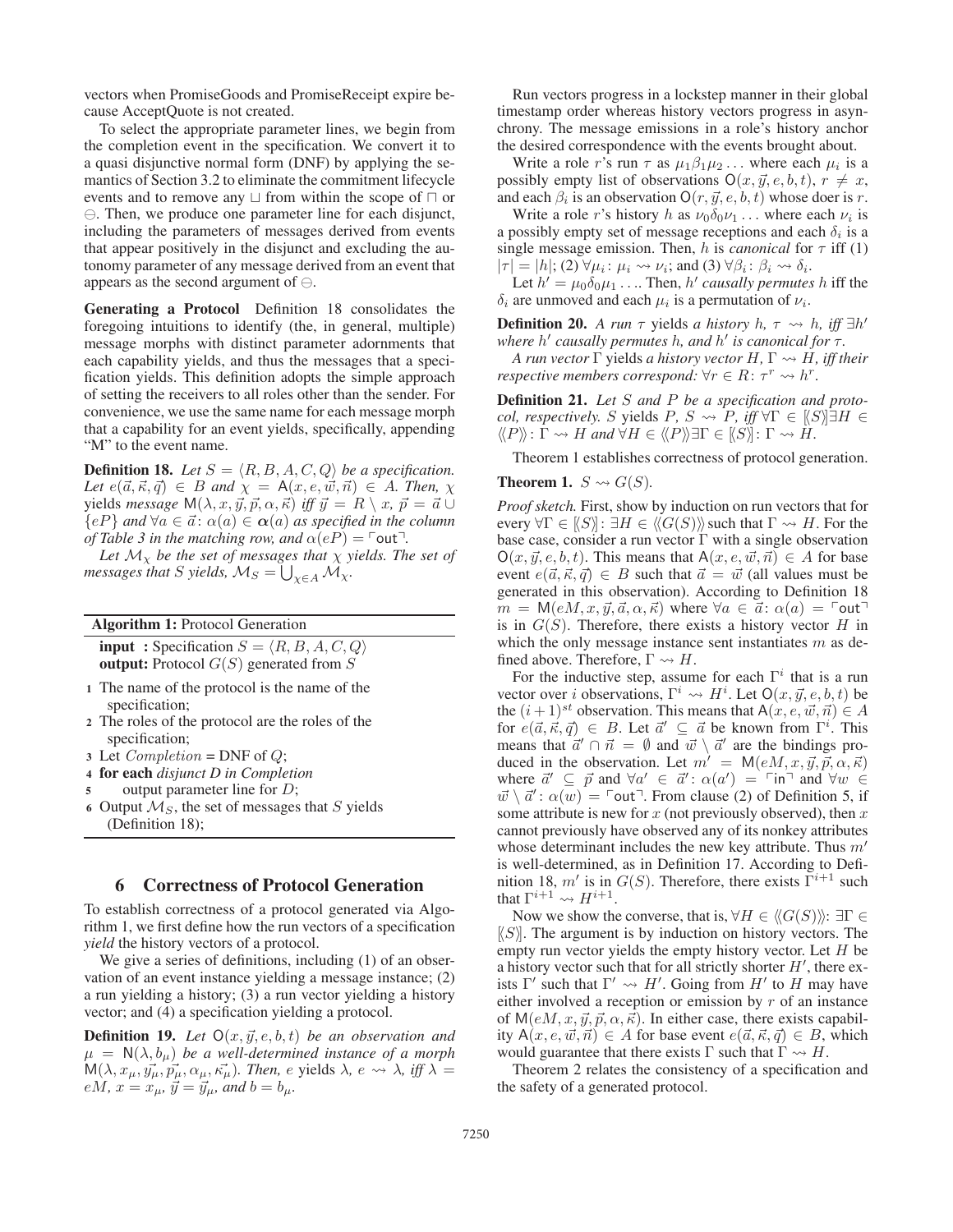vectors when PromiseGoods and PromiseReceipt expire because AcceptQuote is not created.

To select the appropriate parameter lines, we begin from the completion event in the specification. We convert it to a quasi disjunctive normal form (DNF) by applying the semantics of Section 3.2 to eliminate the commitment lifecycle events and to remove any  $\sqcup$  from within the scope of  $\sqcap$  or  $\ominus$ . Then, we produce one parameter line for each disjunct, including the parameters of messages derived from events that appear positively in the disjunct and excluding the autonomy parameter of any message derived from an event that appears as the second argument of  $\ominus$ .

Generating a Protocol Definition 18 consolidates the foregoing intuitions to identify (the, in general, multiple) message morphs with distinct parameter adornments that each capability yields, and thus the messages that a specification yields. This definition adopts the simple approach of setting the receivers to all roles other than the sender. For convenience, we use the same name for each message morph that a capability for an event yields, specifically, appending "M" to the event name.

**Definition 18.** Let  $S = \langle R, B, A, C, Q \rangle$  be a specification. Let  $e(\vec{a}, \vec{\kappa}, \vec{q}) \in B$  and  $\chi = A(x, e, \vec{w}, \vec{n}) \in A$ . Then,  $\chi$  $y$ ields *message*  $M(\lambda, x, \vec{y}, \vec{p}, \alpha, \vec{\kappa})$  *iff*  $\vec{y} = R \setminus x$ ,  $\vec{p} = \vec{a} \cup \vec{b}$  ${eP}$  *and*  $\forall a \in \vec{a}$ :  $\alpha(a) \in \alpha(a)$  *as specified in the column of Table 3 in the matching row, and*  $\alpha(eP) = \text{Out}^{\top}$ .

Let  $\mathcal{M}_{\chi}$  *be the set of messages that*  $\chi$  *yields. The set of messages that*  $S$  *yields,*  $\mathcal{M}_S = \bigcup_{\chi \in A} \widetilde{\mathcal{M}}_\chi$ .

|  |  |  | <b>Algorithm 1: Protocol Generation</b> |
|--|--|--|-----------------------------------------|
|--|--|--|-----------------------------------------|

**input**: Specification  $S = \langle R, B, A, C, Q \rangle$ **output:** Protocol  $G(S)$  generated from S

- <sup>1</sup> The name of the protocol is the name of the specification;
- <sup>2</sup> The roles of the protocol are the roles of the specification;
- <sup>3</sup> Let *Completion* = DNF of Q;
- <sup>4</sup> for each *disjunct D in Completion*
- 5 output parameter line for D;
- 6 Output  $\mathcal{M}_S$ , the set of messages that S yields (Definition 18);

#### 6 Correctness of Protocol Generation

To establish correctness of a protocol generated via Algorithm 1, we first define how the run vectors of a specification *yield* the history vectors of a protocol.

We give a series of definitions, including (1) of an observation of an event instance yielding a message instance; (2) a run yielding a history; (3) a run vector yielding a history vector; and (4) a specification yielding a protocol.

**Definition 19.** Let  $O(x, \vec{y}, e, b, t)$  be an observation and  $\mu = \mathsf{N}(\lambda, b_{\mu})$  *be a well-determined instance of a morph*  $M(\lambda, x_\mu, y_\mu, \vec{p_\mu}, \alpha_\mu, \vec{\kappa_\mu})$ . Then, e yields  $\lambda$ ,  $e \leadsto \lambda$ , iff  $\lambda =$  $e\hat{M}$ ,  $x = x_{\mu}$ ,  $\vec{y} = \vec{y}_{\mu}$ , and  $b = b_{\mu}$ .

Run vectors progress in a lockstep manner in their global timestamp order whereas history vectors progress in asynchrony. The message emissions in a role's history anchor the desired correspondence with the events brought about.

Write a role r's run  $\tau$  as  $\mu_1 \beta_1 \mu_2 \ldots$  where each  $\mu_i$  is a possibly empty list of observations  $O(x, \vec{y}, e, b, t)$ ,  $r \neq x$ , and each  $\beta_i$  is an observation  $O(r, \vec{y}, e, b, t)$  whose doer is r.

Write a role r's history h as  $\nu_0 \delta_0 \nu_1 \ldots$  where each  $\nu_i$  is a possibly empty set of message receptions and each  $\delta_i$  is a single message emission. Then, h is *canonical* for  $\tau$  iff (1)  $|\tau| = |h|$ ; (2)  $\forall \mu_i : \mu_i \leadsto \nu_i$ ; and (3)  $\forall \beta_i : \beta_i \leadsto \delta_i$ .

Let  $h' = \mu_0 \delta_0 \mu_1 \ldots$  Then, h' causally permutes h iff the  $\delta_i$  are unmoved and each  $\mu_i$  is a permutation of  $\nu_i$ .

**Definition 20.** *A run*  $\tau$  yields *a history h*,  $\tau \rightarrow h$ , *iff*  $\exists h'$ *where*  $h'$  causally permutes h, and  $h'$  is canonical for  $\tau$ .

*A run vector*  $\Gamma$  yields *a history vector*  $H, \Gamma \rightsquigarrow H$ *, iff their respective members correspond:*  $\forall r \in R$ :  $\tau^r \rightsquigarrow h^r$ .

Definition 21. *Let* S *and* P *be a specification and protocol, respectively.* S yields  $P$ ,  $S \rightsquigarrow P$ , iff  $\forall \Gamma \in \{S\}$   $\exists H \in$  $\langle P \rangle : \hat{\Gamma} \leadsto H$  and  $\forall H \in \langle P \rangle \rangle \exists \Gamma \in \langle S \rangle : \Gamma \leadsto H$ .

Theorem 1 establishes correctness of protocol generation.

**Theorem 1.**  $S \rightsquigarrow G(S)$ .

*Proof sketch.* First, show by induction on run vectors that for every  $\forall \Gamma \in \{S\} \colon \exists H \in \langle\langle G(S) \rangle\rangle$  such that  $\Gamma \rightsquigarrow H$ . For the base case, consider a run vector  $\Gamma$  with a single observation  $O(x, \vec{y}, e, b, t)$ . This means that  $A(x, e, \vec{w}, \vec{n}) \in A$  for base event  $e(\vec{a}, \vec{\kappa}, \vec{q}) \in B$  such that  $\vec{a} = \vec{w}$  (all values must be generated in this observation). According to Definition 18  $\overline{m} = M(eM, x, \overrightarrow{y}, \overrightarrow{a}, \alpha, \overrightarrow{\kappa})$  where  $\forall a \in \overrightarrow{a}: \alpha(a) = \ulcorner \text{out} \urcorner$ is in  $G(S)$ . Therefore, there exists a history vector H in which the only message instance sent instantiates  $m$  as defined above. Therefore,  $\Gamma \rightsquigarrow H$ .

For the inductive step, assume for each  $\Gamma^i$  that is a run vector over *i* observations,  $\Gamma^i \leadsto H^i$ . Let  $O(x, \vec{y}, e, b, t)$  be the  $(i + 1)^{st}$  observation. This means that  $A(x, e, \vec{w}, \vec{n}) \in A$ for  $e(\vec{a}, \vec{\kappa}, \vec{q}) \in B$ . Let  $\vec{a}' \subseteq \vec{a}$  be known from  $\Gamma^i$ . This means that  $\vec{a}' \cap \vec{n} = \emptyset$  and  $\vec{w} \setminus \vec{a}'$  are the bindings produced in the observation. Let  $m' = M(eM, x, \vec{y}, \vec{p}, \alpha, \vec{\kappa})$ where  $\vec{a}' \subseteq \vec{p}$  and  $\forall a' \in \vec{a}' : \alpha(a') = \text{fin}^{\text{max}}$  and  $\forall w \in \vec{a}$  $\vec{w} \setminus \vec{a}' : \alpha(w) = \text{J} \cdot \text{J}$  From clause (2) of Definition 5, if some attribute is new for  $x$  (not previously observed), then  $x$ cannot previously have observed any of its nonkey attributes whose determinant includes the new key attribute. Thus  $m'$ is well-determined, as in Definition 17. According to Definition 18, m' is in  $G(S)$ . Therefore, there exists  $\bar{\Gamma}^{i+1}$  such that  $\Gamma^{i+1} \rightsquigarrow H^{i+1}$ .

Now we show the converse, that is,  $\forall H \in \langle\langle G(S) \rangle\rangle$ :  $\exists \Gamma \in$  $[S]$ . The argument is by induction on history vectors. The empty run vector yields the empty history vector. Let  $H$  be a history vector such that for all strictly shorter  $H'$ , there exists  $\Gamma'$  such that  $\Gamma' \rightsquigarrow H'$ . Going from  $H'$  to  $H$  may have either involved a reception or emission by r of an instance of  $M(eM, x, \vec{y}, \vec{p}, \alpha, \vec{\kappa})$ . In either case, there exists capability  $A(x, e, \vec{w}, \vec{n}) \in A$  for base event  $e(\vec{a}, \vec{\kappa}, \vec{q}) \in B$ , which would guarantee that there exists  $\Gamma$  such that  $\Gamma \rightsquigarrow H$ .

Theorem 2 relates the consistency of a specification and the safety of a generated protocol.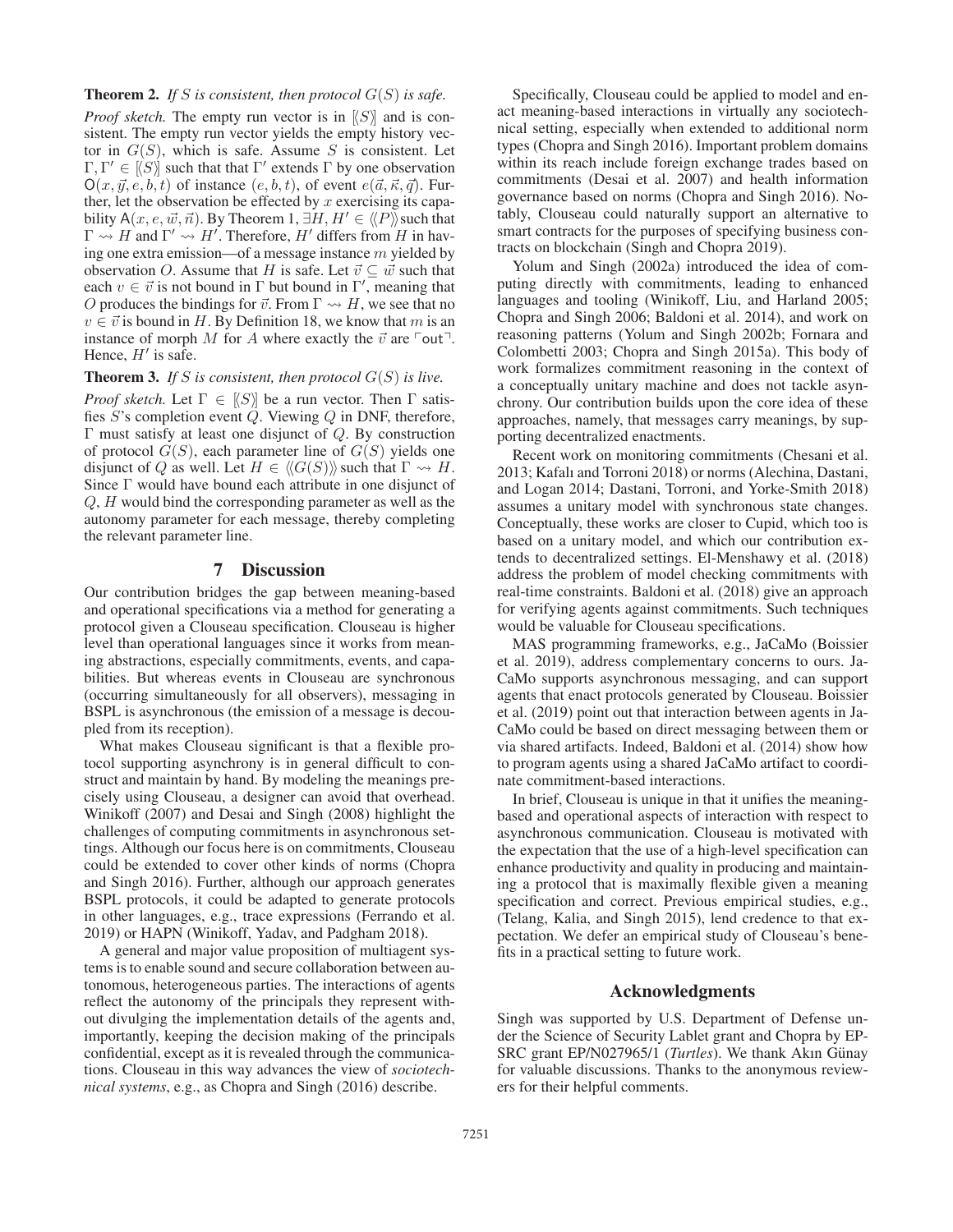### **Theorem 2.** *If* S *is consistent, then protocol*  $G(S)$  *is safe.*

*Proof sketch*. The empty run vector is in  $[S]$  and is consistent. The empty run vector yields the empty history vector in  $G(S)$ , which is safe. Assume S is consistent. Let  $\Gamma, \Gamma' \in \vec{S}$  such that that  $\Gamma'$  extends  $\Gamma$  by one observation  $O(x, \vec{y}, e, b, t)$  of instance  $(e, b, t)$ , of event  $e(\vec{a}, \vec{\kappa}, \vec{q})$ . Further, let the observation be effected by  $x$  exercising its capability A $(x, e, \vec{w}, \vec{n})$ . By Theorem 1,  $\exists H, H' \in \langle\!\langle P \rangle\!\rangle$  such that  $\Gamma \rightsquigarrow H$  and  $\Gamma' \rightsquigarrow H'$ . Therefore, H' differs from H in having one extra emission—of a message instance  $m$  yielded by observation O. Assume that H is safe. Let  $\vec{v} \subseteq \vec{w}$  such that each  $v \in \vec{v}$  is not bound in  $\Gamma$  but bound in  $\Gamma'$ , meaning that O produces the bindings for  $\vec{v}$ . From  $\Gamma \rightsquigarrow H$ , we see that no  $v \in \vec{v}$  is bound in H. By Definition 18, we know that m is an instance of morph M for A where exactly the  $\vec{v}$  are  $\ulcorner$  out $\urcorner$ . Hence,  $H'$  is safe.

#### **Theorem 3.** *If* S *is consistent, then protocol*  $G(S)$  *is live.*

*Proof sketch.* Let  $\Gamma \in \{S\}$  be a run vector. Then  $\Gamma$  satisfies  $S$ 's completion event  $\ddot{Q}$ . Viewing  $Q$  in DNF, therefore, Γ must satisfy at least one disjunct of Q. By construction of protocol  $G(S)$ , each parameter line of  $G(S)$  yields one disjunct of Q as well. Let  $H \in \langle\langle G(S) \rangle\rangle$  such that  $\Gamma \rightsquigarrow H$ . Since Γ would have bound each attribute in one disjunct of Q, H would bind the corresponding parameter as well as the autonomy parameter for each message, thereby completing the relevant parameter line.

#### 7 Discussion

Our contribution bridges the gap between meaning-based and operational specifications via a method for generating a protocol given a Clouseau specification. Clouseau is higher level than operational languages since it works from meaning abstractions, especially commitments, events, and capabilities. But whereas events in Clouseau are synchronous (occurring simultaneously for all observers), messaging in BSPL is asynchronous (the emission of a message is decoupled from its reception).

What makes Clouseau significant is that a flexible protocol supporting asynchrony is in general difficult to construct and maintain by hand. By modeling the meanings precisely using Clouseau, a designer can avoid that overhead. Winikoff (2007) and Desai and Singh (2008) highlight the challenges of computing commitments in asynchronous settings. Although our focus here is on commitments, Clouseau could be extended to cover other kinds of norms (Chopra and Singh 2016). Further, although our approach generates BSPL protocols, it could be adapted to generate protocols in other languages, e.g., trace expressions (Ferrando et al. 2019) or HAPN (Winikoff, Yadav, and Padgham 2018).

A general and major value proposition of multiagent systems is to enable sound and secure collaboration between autonomous, heterogeneous parties. The interactions of agents reflect the autonomy of the principals they represent without divulging the implementation details of the agents and, importantly, keeping the decision making of the principals confidential, except as it is revealed through the communications. Clouseau in this way advances the view of *sociotechnical systems*, e.g., as Chopra and Singh (2016) describe.

Specifically, Clouseau could be applied to model and enact meaning-based interactions in virtually any sociotechnical setting, especially when extended to additional norm types (Chopra and Singh 2016). Important problem domains within its reach include foreign exchange trades based on commitments (Desai et al. 2007) and health information governance based on norms (Chopra and Singh 2016). Notably, Clouseau could naturally support an alternative to smart contracts for the purposes of specifying business contracts on blockchain (Singh and Chopra 2019).

Yolum and Singh (2002a) introduced the idea of computing directly with commitments, leading to enhanced languages and tooling (Winikoff, Liu, and Harland 2005; Chopra and Singh 2006; Baldoni et al. 2014), and work on reasoning patterns (Yolum and Singh 2002b; Fornara and Colombetti 2003; Chopra and Singh 2015a). This body of work formalizes commitment reasoning in the context of a conceptually unitary machine and does not tackle asynchrony. Our contribution builds upon the core idea of these approaches, namely, that messages carry meanings, by supporting decentralized enactments.

Recent work on monitoring commitments (Chesani et al. 2013; Kafalı and Torroni 2018) or norms (Alechina, Dastani, and Logan 2014; Dastani, Torroni, and Yorke-Smith 2018) assumes a unitary model with synchronous state changes. Conceptually, these works are closer to Cupid, which too is based on a unitary model, and which our contribution extends to decentralized settings. El-Menshawy et al. (2018) address the problem of model checking commitments with real-time constraints. Baldoni et al. (2018) give an approach for verifying agents against commitments. Such techniques would be valuable for Clouseau specifications.

MAS programming frameworks, e.g., JaCaMo (Boissier et al. 2019), address complementary concerns to ours. Ja-CaMo supports asynchronous messaging, and can support agents that enact protocols generated by Clouseau. Boissier et al. (2019) point out that interaction between agents in Ja-CaMo could be based on direct messaging between them or via shared artifacts. Indeed, Baldoni et al. (2014) show how to program agents using a shared JaCaMo artifact to coordinate commitment-based interactions.

In brief, Clouseau is unique in that it unifies the meaningbased and operational aspects of interaction with respect to asynchronous communication. Clouseau is motivated with the expectation that the use of a high-level specification can enhance productivity and quality in producing and maintaining a protocol that is maximally flexible given a meaning specification and correct. Previous empirical studies, e.g., (Telang, Kalia, and Singh 2015), lend credence to that expectation. We defer an empirical study of Clouseau's benefits in a practical setting to future work.

# Acknowledgments

Singh was supported by U.S. Department of Defense under the Science of Security Lablet grant and Chopra by EP-SRC grant EP/N027965/1 (*Turtles*). We thank Akın Günay for valuable discussions. Thanks to the anonymous reviewers for their helpful comments.